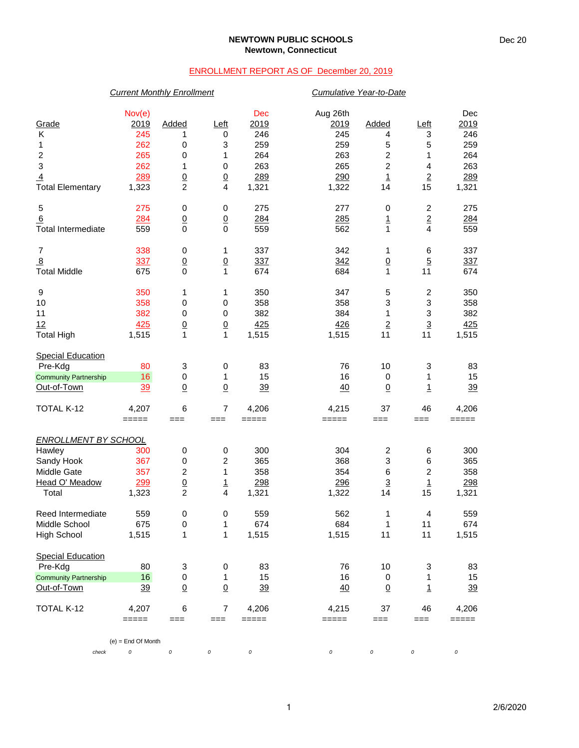### **NEWTOWN PUBLIC SCHOOLS Newtown, Connecticut**

## ENROLLMENT REPORT AS OF December 20, 2019

## *Current Monthly Enrollment Cumulative Year-to-Date*

| Grade<br>Κ<br>1<br>$\overline{\mathbf{c}}$<br>$\ensuremath{\mathsf{3}}$<br>$\overline{4}$<br><b>Total Elementary</b> | Nov(e)<br>2019<br>245<br>262<br>265<br>262<br>289<br>1,323 | <b>Added</b><br>1<br>0<br>0<br>1<br>$\overline{0}$<br>$\overline{c}$ | Left<br>0<br>3<br>1<br>$\pmb{0}$<br>$\underline{0}$<br>4 | Dec<br>2019<br>246<br>259<br>264<br>263<br>289<br>1,321 | Aug 26th<br>2019<br>245<br>259<br>263<br>265<br>290<br>1,322 | <b>Added</b><br>4<br>5<br>$\overline{\mathbf{c}}$<br>$\overline{c}$<br>$\overline{1}$<br>14 | Left<br>3<br>5<br>1<br>4<br>$\underline{2}$<br>15 | Dec<br>2019<br>246<br>259<br>264<br>263<br>289<br>1,321 |
|----------------------------------------------------------------------------------------------------------------------|------------------------------------------------------------|----------------------------------------------------------------------|----------------------------------------------------------|---------------------------------------------------------|--------------------------------------------------------------|---------------------------------------------------------------------------------------------|---------------------------------------------------|---------------------------------------------------------|
| 5                                                                                                                    | 275                                                        | 0                                                                    | 0                                                        | 275                                                     | 277                                                          | 0                                                                                           | $\overline{c}$                                    | 275                                                     |
| 6<br><b>Total Intermediate</b>                                                                                       | 284<br>559                                                 | $\underline{0}$<br>0                                                 | $\overline{0}$<br>$\mathbf 0$                            | 284<br>559                                              | 285<br>562                                                   | $\overline{1}$<br>$\mathbf{1}$                                                              | $\overline{2}$<br>4                               | 284<br>559                                              |
| $\overline{7}$                                                                                                       | 338                                                        | 0                                                                    | 1                                                        | 337                                                     | 342                                                          | 1                                                                                           | 6                                                 | 337                                                     |
| $\overline{8}$<br><b>Total Middle</b>                                                                                | 337<br>675                                                 | $\underline{0}$<br>$\mathbf 0$                                       | $\overline{0}$<br>$\mathbf{1}$                           | 337<br>674                                              | 342<br>684                                                   | $\underline{0}$<br>$\mathbf{1}$                                                             | $\overline{5}$<br>11                              | 337<br>674                                              |
| 9                                                                                                                    | 350                                                        | 1                                                                    | 1                                                        | 350                                                     | 347                                                          | 5                                                                                           | $\overline{c}$                                    | 350                                                     |
| 10                                                                                                                   | 358                                                        | 0                                                                    | $\pmb{0}$                                                | 358                                                     | 358                                                          | 3                                                                                           | 3                                                 | 358                                                     |
| 11                                                                                                                   | 382                                                        | 0                                                                    | $\pmb{0}$                                                | 382                                                     | 384                                                          | 1                                                                                           | 3                                                 | 382                                                     |
| 12                                                                                                                   | 425                                                        | $\underline{0}$                                                      | $\overline{0}$                                           | 425                                                     | 426                                                          | $\underline{2}$                                                                             | $\overline{3}$                                    | 425                                                     |
| <b>Total High</b>                                                                                                    | 1,515                                                      | 1                                                                    | $\mathbf{1}$                                             | 1,515                                                   | 1,515                                                        | 11                                                                                          | 11                                                | 1,515                                                   |
| <b>Special Education</b>                                                                                             |                                                            |                                                                      |                                                          |                                                         |                                                              |                                                                                             |                                                   |                                                         |
| Pre-Kdg                                                                                                              | 80                                                         | 3                                                                    | $\pmb{0}$                                                | 83                                                      | 76                                                           | 10                                                                                          | 3                                                 | 83                                                      |
| <b>Community Partnership</b>                                                                                         | 16                                                         | 0                                                                    | 1                                                        | 15                                                      | 16                                                           | 0                                                                                           | 1                                                 | 15                                                      |
| Out-of-Town                                                                                                          | 39                                                         | $\underline{0}$                                                      | $\overline{0}$                                           | 39                                                      | 40                                                           | $\underline{0}$                                                                             | $\overline{1}$                                    | 39                                                      |
| TOTAL K-12                                                                                                           | 4,207<br>=====                                             | 6<br>$==$                                                            | 7<br>$==$                                                | 4,206<br>=====                                          | 4,215<br>=====                                               | 37<br>$==$                                                                                  | 46<br>$==$                                        | 4,206<br>=====                                          |
| <b>ENROLLMENT BY SCHOOL</b>                                                                                          |                                                            |                                                                      |                                                          |                                                         |                                                              |                                                                                             |                                                   |                                                         |
| Hawley                                                                                                               | 300                                                        | 0                                                                    | $\pmb{0}$                                                | 300                                                     | 304                                                          | $\boldsymbol{2}$                                                                            | 6                                                 | 300                                                     |
| Sandy Hook                                                                                                           | 367                                                        | 0                                                                    | 2                                                        | 365                                                     | 368                                                          | 3                                                                                           | 6                                                 | 365                                                     |
| Middle Gate                                                                                                          | 357                                                        | $\boldsymbol{2}$                                                     | 1                                                        | 358                                                     | 354                                                          | $\,6$                                                                                       | 2                                                 | 358                                                     |
| Head O' Meadow                                                                                                       | 299                                                        | $\underline{0}$                                                      | $\overline{1}$                                           | 298                                                     | 296                                                          | $\overline{3}$                                                                              | $\overline{1}$                                    | 298                                                     |
| Total                                                                                                                | 1,323                                                      | $\overline{c}$                                                       | $\overline{4}$                                           | 1,321                                                   | 1,322                                                        | 14                                                                                          | 15                                                | 1,321                                                   |
| Reed Intermediate                                                                                                    | 559                                                        | $\pmb{0}$                                                            | $\pmb{0}$                                                | 559                                                     | 562                                                          | 1                                                                                           | 4                                                 | 559                                                     |
| Middle School                                                                                                        | 675                                                        | 0                                                                    | 1                                                        | 674                                                     | 684                                                          | 1                                                                                           | 11                                                | 674                                                     |
| <b>High School</b>                                                                                                   | 1,515                                                      | 1                                                                    | 1                                                        | 1,515                                                   | 1,515                                                        | 11                                                                                          | 11                                                | 1,515                                                   |
| <b>Special Education</b>                                                                                             |                                                            |                                                                      |                                                          |                                                         |                                                              |                                                                                             |                                                   |                                                         |
| Pre-Kdg                                                                                                              | 80                                                         | 3                                                                    | 0                                                        | 83                                                      | 76                                                           | 10                                                                                          | 3                                                 | 83                                                      |
| <b>Community Partnership</b>                                                                                         | 16                                                         | 0                                                                    | 1                                                        | 15                                                      | 16                                                           | 0                                                                                           | 1                                                 | 15                                                      |
| Out-of-Town                                                                                                          | 39                                                         | $\underline{0}$                                                      | $\overline{0}$                                           | 39                                                      | 40                                                           | $\underline{0}$                                                                             | $\overline{1}$                                    | $\frac{39}{5}$                                          |
| TOTAL K-12                                                                                                           | 4,207                                                      | 6                                                                    | $\overline{7}$                                           | 4,206                                                   | 4,215                                                        | 37                                                                                          | 46                                                | 4,206                                                   |
|                                                                                                                      | =====                                                      | $==$                                                                 | $==$                                                     | =====                                                   | =====                                                        | $==$                                                                                        | $==$                                              | =====                                                   |
| check                                                                                                                | $(e) =$ End Of Month<br>0                                  | 0                                                                    | 0                                                        | 0                                                       | 0                                                            | 0                                                                                           | 0                                                 | 0                                                       |
|                                                                                                                      |                                                            |                                                                      |                                                          |                                                         |                                                              |                                                                                             |                                                   |                                                         |